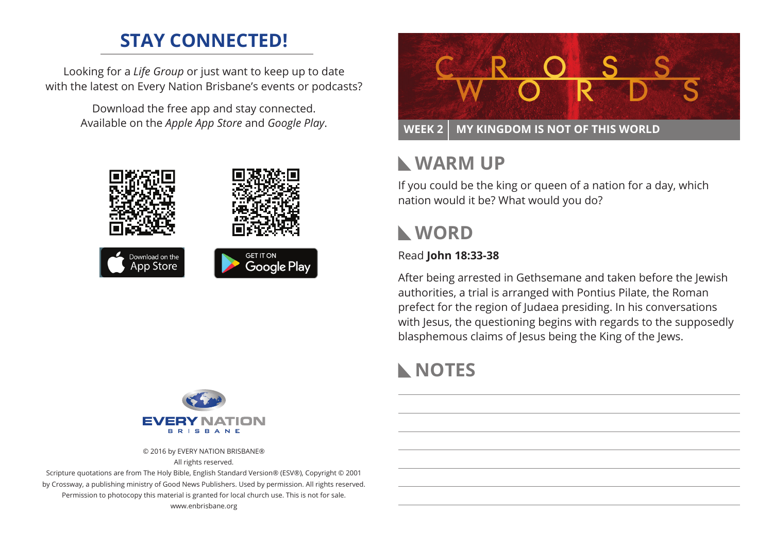## **STAY CONNECTED!**

Looking for a *Life Group* or just want to keep up to date with the latest on Every Nation Brisbane's events or podcasts?

> Download the free app and stay connected. Available on the *Apple App Store* and *Google Play*.





© 2016 by EVERY NATION BRISBANE® All rights reserved.

Scripture quotations are from The Holy Bible, English Standard Version® (ESV®), Copyright © 2001 by Crossway, a publishing ministry of Good News Publishers. Used by permission. All rights reserved. Permission to photocopy this material is granted for local church use. This is not for sale. www.enbrisbane.org



# **Warm Up**

If you could be the king or queen of a nation for a day, which nation would it be? What would you do?

# **WORD**

### Read **John 18:33-38**

After being arrested in Gethsemane and taken before the Jewish authorities, a trial is arranged with Pontius Pilate, the Roman prefect for the region of Judaea presiding. In his conversations with Jesus, the questioning begins with regards to the supposedly blasphemous claims of Jesus being the King of the Jews.

# **NOTES**